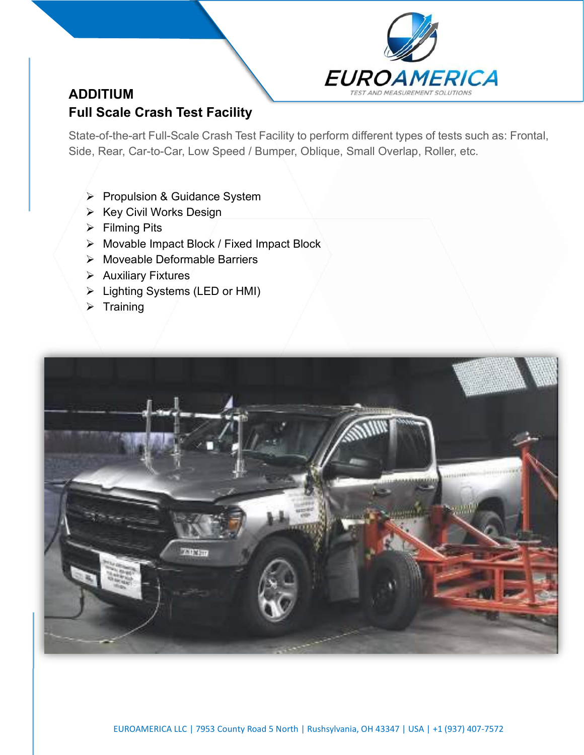

# ADDITIUM Full Scale Crash Test Facility

State-of-the-art Full-Scale Crash Test Facility to perform different types of tests such as: Frontal, Side, Rear, Car-to-Car, Low Speed / Bumper, Oblique, Small Overlap, Roller, etc.

- Propulsion & Guidance System
- $\triangleright$  Key Civil Works Design
- $\triangleright$  Filming Pits
- Movable Impact Block / Fixed Impact Block
- Moveable Deformable Barriers
- $\triangleright$  Auxiliary Fixtures
- Lighting Systems (LED or HMI)
- $\triangleright$  Training